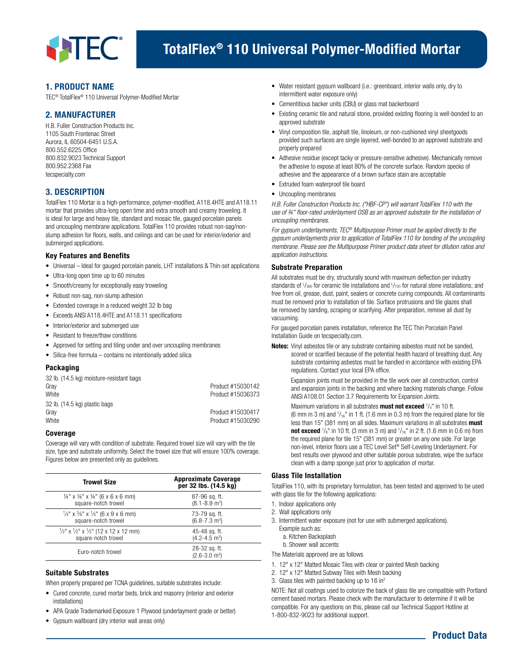

# 1. PRODUCT NAME

TEC® TotalFlex® 110 Universal Polymer-Modified Mortar

# 2. MANUFACTURER

H.B. Fuller Construction Products Inc. 1105 South Frontenac Street Aurora, IL 60504-6451 U.S.A. 800.552.6225 Office 800.832.9023 Technical Support 800.952.2368 Fax tecspecialty.com

# 3. DESCRIPTION

TotalFlex 110 Mortar is a high-performance, polymer-modified, A118.4HTE and A118.11 mortar that provides ultra-long open time and extra smooth and creamy troweling. It is ideal for large and heavy tile, standard and mosaic tile, gauged porcelain panels and uncoupling membrane applications. TotalFlex 110 provides robust non-sag/nonslump adhesion for floors, walls, and ceilings and can be used for interior/exterior and submerged applications.

## Key Features and Benefits

- Universal Ideal for gauged porcelain panels, LHT installations & Thin-set applications
- Ultra-long open time up to 60 minutes
- Smooth/creamy for exceptionally easy troweling
- Robust non-sag, non-slump adhesion
- Extended coverage in a reduced weight 32 lb bag
- Exceeds ANSI A118.4HTE and A118.11 specifications
- Interior/exterior and submerged use
- Resistant to freeze/thaw conditions
- Approved for setting and tiling under and over uncoupling membranes
- Silica-free formula contains no intentionally added silica

## Packaging

| 32 lb. (14.5 kg) moisture-resistant bags |                   |
|------------------------------------------|-------------------|
| Grav                                     | Product #15030142 |
| White                                    | Product #15036373 |
| 32 lb. (14.5 kg) plastic bags            |                   |
| Grav                                     | Product #15030417 |
| White                                    | Product #15030290 |

### Coverage

Coverage will vary with condition of substrate. Required trowel size will vary with the tile size, type and substrate uniformity. Select the trowel size that will ensure 100% coverage. Figures below are presented only as guidelines.

| <b>Trowel Size</b>                                                    | <b>Approximate Coverage</b><br>per 32 lbs. (14.5 kg) |
|-----------------------------------------------------------------------|------------------------------------------------------|
| $\frac{1}{4}$ " x $\frac{1}{4}$ " x $\frac{1}{4}$ " (6 x 6 x 6 mm)    | 87-96 sq. ft.                                        |
| square-notch trowel                                                   | $(8.1 - 8.9)$ m <sup>2</sup> )                       |
| $\frac{1}{4}$ " x $\frac{3}{8}$ " x $\frac{1}{4}$ " (6 x 9 x 6 mm)    | 73-79 sq. ft.                                        |
| square-notch trowel                                                   | $(6.8 - 7.3)$ m <sup>2</sup> )                       |
| $\frac{1}{2}$ " x $\frac{1}{2}$ " x $\frac{1}{2}$ " (12 x 12 x 12 mm) | 45-48 sq. ft.                                        |
| square-notch trowel                                                   | $(4.2 - 4.5)$ m <sup>2</sup> )                       |
| Euro-notch trowel                                                     | 28-32 sq. ft.<br>$(2.6 - 3.0)$ m <sup>2</sup> )      |

### Suitable Substrates

When properly prepared per TCNA guidelines, suitable substrates include:

- Cured concrete, cured mortar beds, brick and masonry (interior and exterior installations)
- APA Grade Trademarked Exposure 1 Plywood (underlayment grade or better)
- Gypsum wallboard (dry interior wall areas only)
- Water resistant gypsum wallboard (i.e.: greenboard, interior walls only, dry to intermittent water exposure only)
- Cementitious backer units (CBU) or glass mat backerboard
- Existing ceramic tile and natural stone, provided existing flooring is well-bonded to an approved substrate
- Vinyl composition tile, asphalt tile, linoleum, or non-cushioned vinyl sheetgoods provided such surfaces are single layered, well-bonded to an approved substrate and properly prepared
- Adhesive residue (except tacky or pressure-sensitive adhesive). Mechanically remove the adhesive to expose at least 80% of the concrete surface. Random specks of adhesive and the appearance of a brown surface stain are acceptable
- Extruded foam waterproof tile board
- Uncoupling membranes

*H.B. Fuller Construction Products Inc. ("HBF-CP") will warrant TotalFlex 110 with the use of ¾" floor-rated underlayment OSB as an approved substrate for the installation of uncoupling membranes.*

*For gypsum underlayments, TEC® Multipurpose Primer must be applied directly to the gypsum underlayments prior to application of TotalFlex 110 for bonding of the uncoupling membrane. Please see the Multipurpose Primer product data sheet for dilution ratios and application instructions.*

### Substrate Preparation

All substrates must be dry, structurally sound with maximum deflection per industry standards of L/360 for ceramic tile installations and L/720 for natural stone installations; and free from oil, grease, dust, paint, sealers or concrete curing compounds. All contaminants must be removed prior to installation of tile. Surface protrusions and tile glazes shall be removed by sanding, scraping or scarifying. After preparation, remove all dust by vacuuming.

For gauged porcelain panels installation, reference the TEC Thin Porcelain Panel Installation Guide on tecspecialty.com.

Notes: Vinyl asbestos tile or any substrate containing asbestos must not be sanded. scored or scarified because of the potential health hazard of breathing dust. Any substrate containing asbestos must be handled in accordance with existing EPA regulations. Contact your local EPA office.

 Expansion joints must be provided in the tile work over all construction, control and expansion joints in the backing and where backing materials change. Follow ANSI A108.01 Section 3.7 Requirements for Expansion Joints.

Maximum variations in all substrates **must not exceed**  $1/4$ " in 10 ft. (6 mm in 3 m) and  $\frac{1}{16}$ " in 1 ft. (1.6 mm in 0.3 m) from the required plane for tile less than 15" (381 mm) on all sides. Maximum variations in all substrates must **not exceed**  $\frac{1}{s}$ " in 10 ft. (3 mm in 3 m) and  $\frac{1}{16}$ " in 2 ft. (1.6 mm in 0.6 m) from the required plane for tile 15" (381 mm) or greater on any one side. For large non-level, interior floors use a TEC Level Set® Self-Leveling Underlayment. For best results over plywood and other suitable porous substrates, wipe the surface clean with a damp sponge just prior to application of mortar.

### Glass Tile Installation

TotalFlex 110, with its proprietary formulation, has been tested and approved to be used with glass tile for the following applications:

- 1. Indoor applications only
- 2. Wall applications only
- 3. Intermittent water exposure (not for use with submerged applications).
	- Example such as:
	- a. Kitchen Backsplash
	- b. Shower wall accents
- The Materials approved are as follows
- 1. 12" x 12" Matted Mosaic Tiles with clear or painted Mesh backing
- 2. 12" x 12" Matted Subway Tiles with Mesh backing
- 3. Glass tiles with painted backing up to 16 in2

NOTE: Not all coatings used to colorize the back of glass tile are compatible with Portland cement based mortars. Please check with the manufacturer to determine if it will be compatible. For any questions on this, please call our Technical Support Hotline at 1-800-832-9023 for additional support.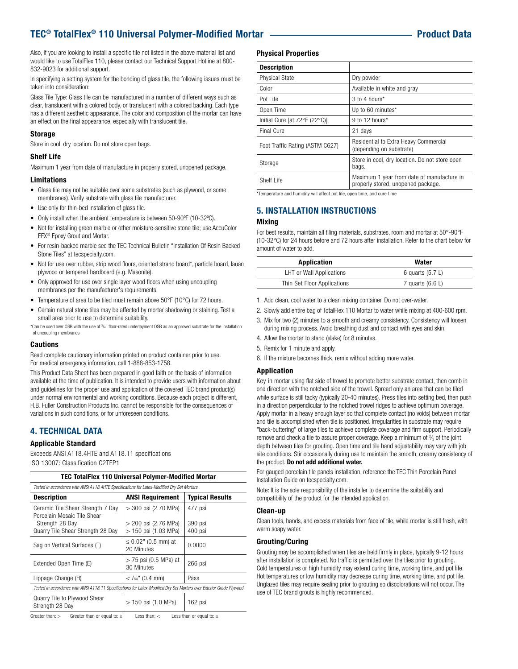# TEC® TotalFlex® 110 Universal Polymer-Modified Mortar Product Data

Also, if you are looking to install a specific tile not listed in the above material list and would like to use TotalFlex 110, please contact our Technical Support Hotline at 800- 832-9023 for additional support.

In specifying a setting system for the bonding of glass tile, the following issues must be taken into consideration:

Glass Tile Type: Glass tile can be manufactured in a number of different ways such as clear, translucent with a colored body, or translucent with a colored backing. Each type has a different aesthetic appearance. The color and composition of the mortar can have an effect on the final appearance, especially with translucent tile.

### **Storage**

Store in cool, dry location. Do not store open bags.

### Shelf Life

Maximum 1 year from date of manufacture in properly stored, unopened package.

#### Limitations

- Glass tile may not be suitable over some substrates (such as plywood, or some membranes). Verify substrate with glass tile manufacturer.
- Use only for thin-bed installation of glass tile.
- Only install when the ambient temperature is between 50-90ºF (10-32ºC).
- Not for installing green marble or other moisture-sensitive stone tile; use AccuColor EFX® Epoxy Grout and Mortar.
- For resin-backed marble see the TEC Technical Bulletin "Installation Of Resin Backed Stone Tiles" at tecspecialty.com.
- Not for use over rubber, strip wood floors, oriented strand board\*, particle board, lauan plywood or tempered hardboard (e.g. Masonite).
- Only approved for use over single layer wood floors when using uncoupling membranes per the manufacturer's requirements.
- Temperature of area to be tiled must remain above 50°F (10°C) for 72 hours.
- Certain natural stone tiles may be affected by mortar shadowing or staining. Test a small area prior to use to determine suitability.

\*Can be used over OSB with the use of 3 /4" floor-rated underlayment OSB as an approved substrate for the installation of uncoupling membranes

#### Cautions

Read complete cautionary information printed on product container prior to use. For medical emergency information, call 1-888-853-1758.

This Product Data Sheet has been prepared in good faith on the basis of information available at the time of publication. It is intended to provide users with information about and guidelines for the proper use and application of the covered TEC brand product(s) under normal environmental and working conditions. Because each project is different, H.B. Fuller Construction Products Inc. cannot be responsible for the consequences of variations in such conditions, or for unforeseen conditions.

## 4. TECHNICAL DATA

### Applicable Standard

Exceeds ANSI A118.4HTE and A118.11 specifications ISO 13007: Classification C2TEP1

#### TEC TotalFlex 110 Universal Polymer-Modified Mortar

| Tested in accordance with ANSI A118.4HTE Specifications for Latex-Modified Dry Set Mortars                           |                                        |                        |  |
|----------------------------------------------------------------------------------------------------------------------|----------------------------------------|------------------------|--|
| <b>Description</b>                                                                                                   | <b>ANSI Requirement</b>                | <b>Typical Results</b> |  |
| Ceramic Tile Shear Strength 7 Day<br>Porcelain Mosaic Tile Shear                                                     | > 300 psi (2.70 MPa)                   | 477 psi                |  |
| Strength 28 Day                                                                                                      | > 200 psi (2.76 MPa)                   | 390 psi                |  |
| Quarry Tile Shear Strength 28 Day                                                                                    | > 150 psi (1.03 MPa)                   | 400 psi                |  |
| Sag on Vertical Surfaces (T)                                                                                         | $\leq$ 0.02" (0.5 mm) at<br>20 Minutes | 0.0000                 |  |
| Extended Open Time (E)                                                                                               | $>$ 75 psi (0.5 MPa) at<br>30 Minutes  | $266$ psi              |  |
| Lippage Change (H)                                                                                                   | $1/64$ " (0.4 mm)                      | Pass                   |  |
| Tested in accordance with ANSI A118.11 Specifications for Latex-Modified Dry Set Mortars over Exterior Grade Plywood |                                        |                        |  |
| Quarry Tile to Plywood Shear<br>Strength 28 Day                                                                      | > 150 psi (1.0 MPa)                    | 162 psi                |  |

| Greater than: $>$ | Greater than or equal to: $\geq$ | Less than: $<$ | Less than or equal to: $\leq$ |
|-------------------|----------------------------------|----------------|-------------------------------|
|                   |                                  |                |                               |

### Physical Properties

| <b>Description</b>              |                                                                                  |
|---------------------------------|----------------------------------------------------------------------------------|
| <b>Physical State</b>           | Dry powder                                                                       |
| Color                           | Available in white and gray                                                      |
| Pot Life                        | 3 to 4 hours*                                                                    |
| Open Time                       | Up to 60 minutes*                                                                |
| Initial Cure [at 72°F (22°C)]   | 9 to 12 hours*                                                                   |
| Final Cure                      | 21 days                                                                          |
| Foot Traffic Rating (ASTM C627) | Residential to Extra Heavy Commercial<br>(depending on substrate)                |
| Storage                         | Store in cool, dry location. Do not store open<br>bags.                          |
| Shelf Life                      | Maximum 1 year from date of manufacture in<br>properly stored, unopened package. |

\*Temperature and humidity will affect pot life, open time, and cure time

## 5. INSTALLATION INSTRUCTIONS

#### Mixing

 $\overline{\phantom{a}}$ 

For best results, maintain all tiling materials, substrates, room and mortar at 50°-90°F (10-32°C) for 24 hours before and 72 hours after installation. Refer to the chart below for amount of water to add.

| Application                 | Water              |
|-----------------------------|--------------------|
| LHT or Wall Applications    | 6 quarts $(5.7 L)$ |
| Thin Set Floor Applications | 7 quarts $(6.6 L)$ |
|                             |                    |

- 1. Add clean, cool water to a clean mixing container. Do not over-water.
- 2. Slowly add entire bag of TotalFlex 110 Mortar to water while mixing at 400-600 rpm.
- 3. Mix for two (2) minutes to a smooth and creamy consistency. Consistency will loosen during mixing process. Avoid breathing dust and contact with eyes and skin.
- 4. Allow the mortar to stand (slake) for 8 minutes.
- 5. Remix for 1 minute and apply.
- 6. If the mixture becomes thick, remix without adding more water.

#### Application

Key in mortar using flat side of trowel to promote better substrate contact, then comb in one direction with the notched side of the trowel. Spread only an area that can be tiled while surface is still tacky (typically 20-40 minutes). Press tiles into setting bed, then push in a direction perpendicular to the notched trowel ridges to achieve optimum coverage. Apply mortar in a heavy enough layer so that complete contact (no voids) between mortar and tile is accomplished when tile is positioned. Irregularities in substrate may require "back-buttering" of large tiles to achieve complete coverage and firm support. Periodically remove and check a tile to assure proper coverage. Keep a minimum of  $\frac{2}{3}$  of the joint depth between tiles for grouting. Open time and tile hand adjustability may vary with job site conditions. Stir occasionally during use to maintain the smooth, creamy consistency of the product. Do not add additional water.

For gauged porcelain tile panels installation, reference the TEC Thin Porcelain Panel Installation Guide on tecspecialty.com.

Note: It is the sole responsibility of the installer to determine the suitability and compatibility of the product for the intended application.

#### Clean-up

Clean tools, hands, and excess materials from face of tile, while mortar is still fresh, with warm soapy water.

### Grouting/Curing

Grouting may be accomplished when tiles are held firmly in place, typically 9-12 hours after installation is completed. No traffic is permitted over the tiles prior to grouting. Cold temperatures or high humidity may extend curing time, working time, and pot life. Hot temperatures or low humidity may decrease curing time, working time, and pot life. Unglazed tiles may require sealing prior to grouting so discolorations will not occur. The use of TEC brand grouts is highly recommended.